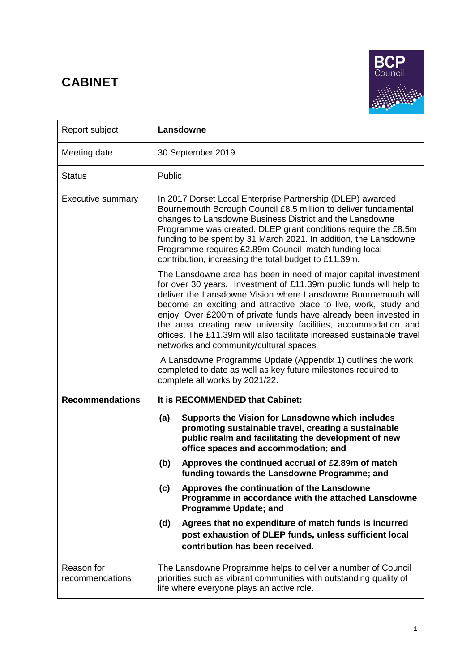# **CABINET**



| Report subject                | Lansdowne                                                                                                                                                                                                                                                                                                                                                                                                                                                                                                                             |
|-------------------------------|---------------------------------------------------------------------------------------------------------------------------------------------------------------------------------------------------------------------------------------------------------------------------------------------------------------------------------------------------------------------------------------------------------------------------------------------------------------------------------------------------------------------------------------|
| Meeting date                  | 30 September 2019                                                                                                                                                                                                                                                                                                                                                                                                                                                                                                                     |
| <b>Status</b>                 | Public                                                                                                                                                                                                                                                                                                                                                                                                                                                                                                                                |
| <b>Executive summary</b>      | In 2017 Dorset Local Enterprise Partnership (DLEP) awarded<br>Bournemouth Borough Council £8.5 million to deliver fundamental<br>changes to Lansdowne Business District and the Lansdowne<br>Programme was created. DLEP grant conditions require the £8.5m<br>funding to be spent by 31 March 2021. In addition, the Lansdowne<br>Programme requires £2.89m Council match funding local<br>contribution, increasing the total budget to £11.39m.                                                                                     |
|                               | The Lansdowne area has been in need of major capital investment<br>for over 30 years. Investment of £11.39m public funds will help to<br>deliver the Lansdowne Vision where Lansdowne Bournemouth will<br>become an exciting and attractive place to live, work, study and<br>enjoy. Over £200m of private funds have already been invested in<br>the area creating new university facilities, accommodation and<br>offices. The £11.39m will also facilitate increased sustainable travel<br>networks and community/cultural spaces. |
|                               | A Lansdowne Programme Update (Appendix 1) outlines the work<br>completed to date as well as key future milestones required to<br>complete all works by 2021/22.                                                                                                                                                                                                                                                                                                                                                                       |
| <b>Recommendations</b>        | It is RECOMMENDED that Cabinet:                                                                                                                                                                                                                                                                                                                                                                                                                                                                                                       |
|                               | Supports the Vision for Lansdowne which includes<br>(a)<br>promoting sustainable travel, creating a sustainable<br>public realm and facilitating the development of new<br>office spaces and accommodation; and                                                                                                                                                                                                                                                                                                                       |
|                               | Approves the continued accrual of £2.89m of match<br>(b)<br>funding towards the Lansdowne Programme; and                                                                                                                                                                                                                                                                                                                                                                                                                              |
|                               | (c)<br>Approves the continuation of the Lansdowne<br>Programme in accordance with the attached Lansdowne<br><b>Programme Update; and</b>                                                                                                                                                                                                                                                                                                                                                                                              |
|                               | Agrees that no expenditure of match funds is incurred<br>(d)<br>post exhaustion of DLEP funds, unless sufficient local<br>contribution has been received.                                                                                                                                                                                                                                                                                                                                                                             |
| Reason for<br>recommendations | The Lansdowne Programme helps to deliver a number of Council<br>priorities such as vibrant communities with outstanding quality of<br>life where everyone plays an active role.                                                                                                                                                                                                                                                                                                                                                       |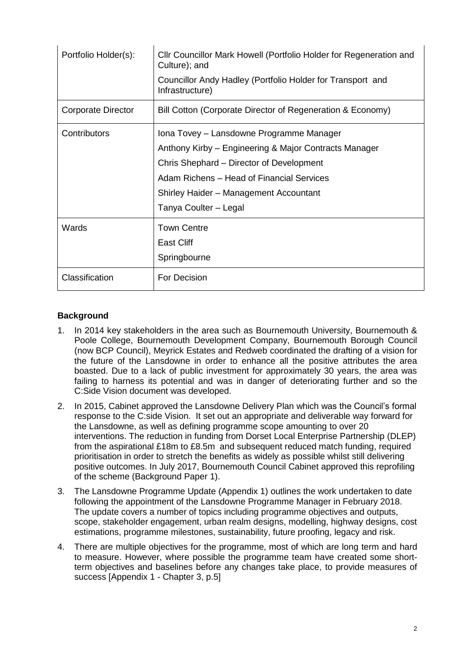| Portfolio Holder(s): | CIIr Councillor Mark Howell (Portfolio Holder for Regeneration and<br>Culture); and<br>Councillor Andy Hadley (Portfolio Holder for Transport and<br>Infrastructure)                                                                                          |
|----------------------|---------------------------------------------------------------------------------------------------------------------------------------------------------------------------------------------------------------------------------------------------------------|
| Corporate Director   | Bill Cotton (Corporate Director of Regeneration & Economy)                                                                                                                                                                                                    |
| Contributors         | Iona Tovey - Lansdowne Programme Manager<br>Anthony Kirby - Engineering & Major Contracts Manager<br>Chris Shephard – Director of Development<br>Adam Richens - Head of Financial Services<br>Shirley Haider - Management Accountant<br>Tanya Coulter – Legal |
| Wards                | <b>Town Centre</b><br><b>East Cliff</b><br>Springbourne                                                                                                                                                                                                       |
| Classification       | For Decision                                                                                                                                                                                                                                                  |

## **Background**

- 1. In 2014 key stakeholders in the area such as Bournemouth University, Bournemouth & Poole College, Bournemouth Development Company, Bournemouth Borough Council (now BCP Council), Meyrick Estates and Redweb coordinated the drafting of a vision for the future of the Lansdowne in order to enhance all the positive attributes the area boasted. Due to a lack of public investment for approximately 30 years, the area was failing to harness its potential and was in danger of deteriorating further and so the C:Side Vision document was developed.
- 2. In 2015, Cabinet approved the Lansdowne Delivery Plan which was the Council's formal response to the C:side Vision. It set out an appropriate and deliverable way forward for the Lansdowne, as well as defining programme scope amounting to over 20 interventions. The reduction in funding from Dorset Local Enterprise Partnership (DLEP) from the aspirational £18m to £8.5m and subsequent reduced match funding, required prioritisation in order to stretch the benefits as widely as possible whilst still delivering positive outcomes. In July 2017, Bournemouth Council Cabinet approved this reprofiling of the scheme (Background Paper 1).
- 3. The Lansdowne Programme Update (Appendix 1) outlines the work undertaken to date following the appointment of the Lansdowne Programme Manager in February 2018. The update covers a number of topics including programme objectives and outputs, scope, stakeholder engagement, urban realm designs, modelling, highway designs, cost estimations, programme milestones, sustainability, future proofing, legacy and risk.
- 4. There are multiple objectives for the programme, most of which are long term and hard to measure. However, where possible the programme team have created some shortterm objectives and baselines before any changes take place, to provide measures of success [Appendix 1 - Chapter 3, p.5]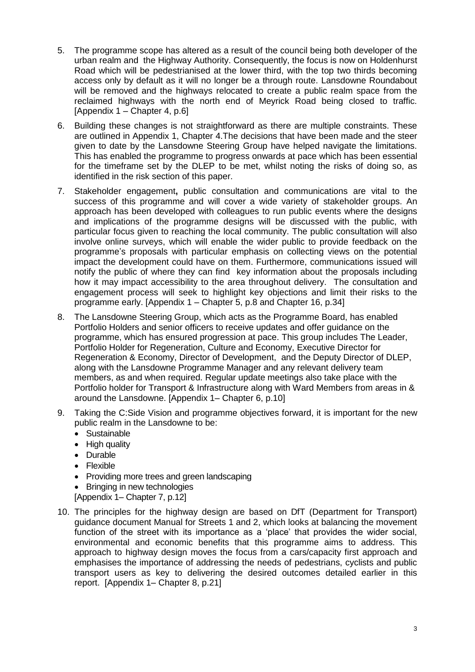- 5. The programme scope has altered as a result of the council being both developer of the urban realm and the Highway Authority. Consequently, the focus is now on Holdenhurst Road which will be pedestrianised at the lower third, with the top two thirds becoming access only by default as it will no longer be a through route. Lansdowne Roundabout will be removed and the highways relocated to create a public realm space from the reclaimed highways with the north end of Meyrick Road being closed to traffic. [Appendix 1 – Chapter 4, p.6]
- 6. Building these changes is not straightforward as there are multiple constraints. These are outlined in Appendix 1, Chapter 4.The decisions that have been made and the steer given to date by the Lansdowne Steering Group have helped navigate the limitations. This has enabled the programme to progress onwards at pace which has been essential for the timeframe set by the DLEP to be met, whilst noting the risks of doing so, as identified in the risk section of this paper.
- 7. Stakeholder engagement**,** public consultation and communications are vital to the success of this programme and will cover a wide variety of stakeholder groups. An approach has been developed with colleagues to run public events where the designs and implications of the programme designs will be discussed with the public, with particular focus given to reaching the local community. The public consultation will also involve online surveys, which will enable the wider public to provide feedback on the programme's proposals with particular emphasis on collecting views on the potential impact the development could have on them. Furthermore, communications issued will notify the public of where they can find key information about the proposals including how it may impact accessibility to the area throughout delivery. The consultation and engagement process will seek to highlight key objections and limit their risks to the programme early. [Appendix 1 – Chapter 5, p.8 and Chapter 16, p.34]
- 8. The Lansdowne Steering Group, which acts as the Programme Board, has enabled Portfolio Holders and senior officers to receive updates and offer guidance on the programme, which has ensured progression at pace. This group includes The Leader, Portfolio Holder for Regeneration, Culture and Economy, Executive Director for Regeneration & Economy, Director of Development, and the Deputy Director of DLEP, along with the Lansdowne Programme Manager and any relevant delivery team members, as and when required. Regular update meetings also take place with the Portfolio holder for Transport & Infrastructure along with Ward Members from areas in & around the Lansdowne. [Appendix 1– Chapter 6, p.10]
- 9. Taking the C:Side Vision and programme objectives forward, it is important for the new public realm in the Lansdowne to be:
	- Sustainable
	- High quality
	- Durable
	- Flexible
	- Providing more trees and green landscaping
	- Bringing in new technologies

[Appendix 1– Chapter 7, p.12]

10. The principles for the highway design are based on DfT (Department for Transport) guidance document Manual for Streets 1 and 2, which looks at balancing the movement function of the street with its importance as a 'place' that provides the wider social, environmental and economic benefits that this programme aims to address. This approach to highway design moves the focus from a cars/capacity first approach and emphasises the importance of addressing the needs of pedestrians, cyclists and public transport users as key to delivering the desired outcomes detailed earlier in this report. [Appendix 1– Chapter 8, p.21]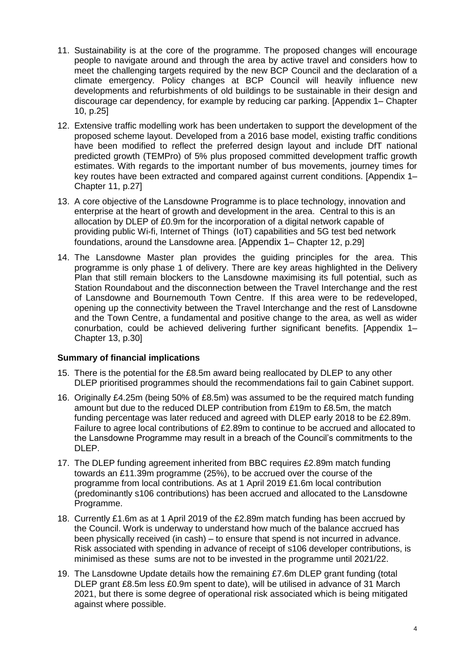- 11. Sustainability is at the core of the programme. The proposed changes will encourage people to navigate around and through the area by active travel and considers how to meet the challenging targets required by the new BCP Council and the declaration of a climate emergency. Policy changes at BCP Council will heavily influence new developments and refurbishments of old buildings to be sustainable in their design and discourage car dependency, for example by reducing car parking. [Appendix 1– Chapter 10, p.25]
- 12. Extensive traffic modelling work has been undertaken to support the development of the proposed scheme layout. Developed from a 2016 base model, existing traffic conditions have been modified to reflect the preferred design layout and include DfT national predicted growth (TEMPro) of 5% plus proposed committed development traffic growth estimates. With regards to the important number of bus movements, journey times for key routes have been extracted and compared against current conditions. [Appendix 1– Chapter 11, p.27]
- 13. A core objective of the Lansdowne Programme is to place technology, innovation and enterprise at the heart of growth and development in the area. Central to this is an allocation by DLEP of £0.9m for the incorporation of a digital network capable of providing public Wi-fi, Internet of Things (IoT) capabilities and 5G test bed network foundations, around the Lansdowne area. [Appendix 1– Chapter 12, p.29]
- 14. The Lansdowne Master plan provides the guiding principles for the area. This programme is only phase 1 of delivery. There are key areas highlighted in the Delivery Plan that still remain blockers to the Lansdowne maximising its full potential, such as Station Roundabout and the disconnection between the Travel Interchange and the rest of Lansdowne and Bournemouth Town Centre. If this area were to be redeveloped, opening up the connectivity between the Travel Interchange and the rest of Lansdowne and the Town Centre, a fundamental and positive change to the area, as well as wider conurbation, could be achieved delivering further significant benefits. [Appendix 1– Chapter 13, p.30]

#### **Summary of financial implications**

- 15. There is the potential for the £8.5m award being reallocated by DLEP to any other DLEP prioritised programmes should the recommendations fail to gain Cabinet support.
- 16. Originally £4.25m (being 50% of £8.5m) was assumed to be the required match funding amount but due to the reduced DLEP contribution from £19m to £8.5m, the match funding percentage was later reduced and agreed with DLEP early 2018 to be £2.89m. Failure to agree local contributions of £2.89m to continue to be accrued and allocated to the Lansdowne Programme may result in a breach of the Council's commitments to the DLEP.
- 17. The DLEP funding agreement inherited from BBC requires £2.89m match funding towards an £11.39m programme (25%), to be accrued over the course of the programme from local contributions. As at 1 April 2019 £1.6m local contribution (predominantly s106 contributions) has been accrued and allocated to the Lansdowne Programme.
- 18. Currently £1.6m as at 1 April 2019 of the £2.89m match funding has been accrued by the Council. Work is underway to understand how much of the balance accrued has been physically received (in cash) – to ensure that spend is not incurred in advance. Risk associated with spending in advance of receipt of s106 developer contributions, is minimised as these sums are not to be invested in the programme until 2021/22.
- 19. The Lansdowne Update details how the remaining £7.6m DLEP grant funding (total DLEP grant £8.5m less £0.9m spent to date), will be utilised in advance of 31 March 2021, but there is some degree of operational risk associated which is being mitigated against where possible.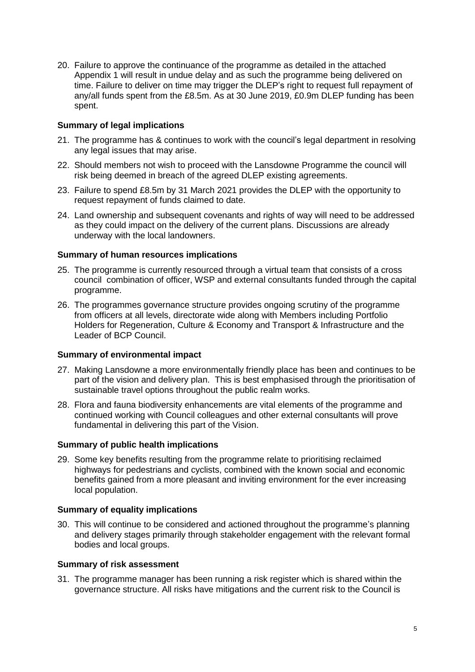20. Failure to approve the continuance of the programme as detailed in the attached Appendix 1 will result in undue delay and as such the programme being delivered on time. Failure to deliver on time may trigger the DLEP's right to request full repayment of any/all funds spent from the £8.5m. As at 30 June 2019, £0.9m DLEP funding has been spent.

### **Summary of legal implications**

- 21. The programme has & continues to work with the council's legal department in resolving any legal issues that may arise.
- 22. Should members not wish to proceed with the Lansdowne Programme the council will risk being deemed in breach of the agreed DLEP existing agreements.
- 23. Failure to spend £8.5m by 31 March 2021 provides the DLEP with the opportunity to request repayment of funds claimed to date.
- 24. Land ownership and subsequent covenants and rights of way will need to be addressed as they could impact on the delivery of the current plans. Discussions are already underway with the local landowners.

#### **Summary of human resources implications**

- 25. The programme is currently resourced through a virtual team that consists of a cross council combination of officer, WSP and external consultants funded through the capital programme.
- 26. The programmes governance structure provides ongoing scrutiny of the programme from officers at all levels, directorate wide along with Members including Portfolio Holders for Regeneration, Culture & Economy and Transport & Infrastructure and the Leader of BCP Council.

#### **Summary of environmental impact**

- 27. Making Lansdowne a more environmentally friendly place has been and continues to be part of the vision and delivery plan. This is best emphasised through the prioritisation of sustainable travel options throughout the public realm works.
- 28. Flora and fauna biodiversity enhancements are vital elements of the programme and continued working with Council colleagues and other external consultants will prove fundamental in delivering this part of the Vision.

#### **Summary of public health implications**

29. Some key benefits resulting from the programme relate to prioritising reclaimed highways for pedestrians and cyclists, combined with the known social and economic benefits gained from a more pleasant and inviting environment for the ever increasing local population.

#### **Summary of equality implications**

30. This will continue to be considered and actioned throughout the programme's planning and delivery stages primarily through stakeholder engagement with the relevant formal bodies and local groups.

#### **Summary of risk assessment**

31. The programme manager has been running a risk register which is shared within the governance structure. All risks have mitigations and the current risk to the Council is